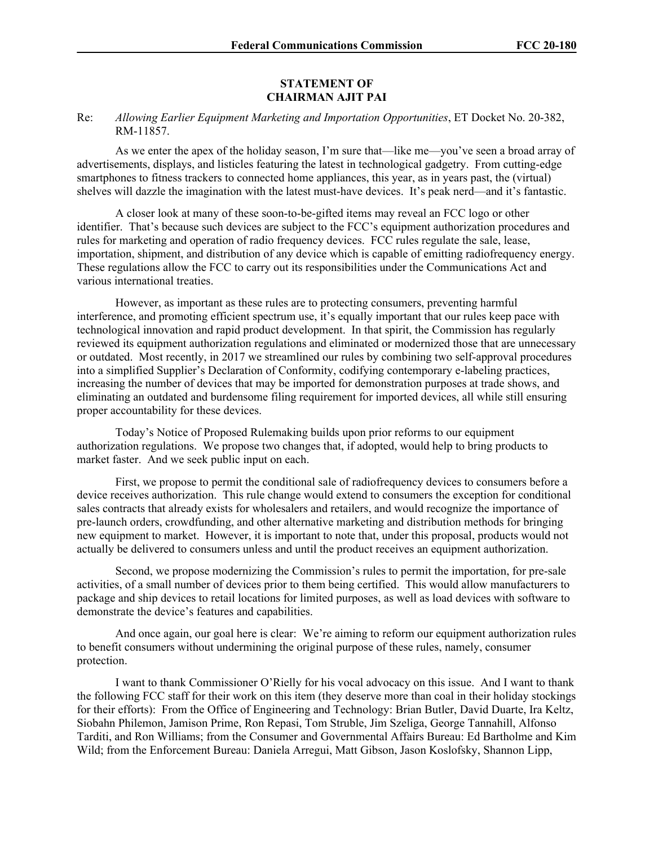## **STATEMENT OF CHAIRMAN AJIT PAI**

## Re: *Allowing Earlier Equipment Marketing and Importation Opportunities*, ET Docket No. 20-382, RM-11857.

As we enter the apex of the holiday season, I'm sure that—like me—you've seen a broad array of advertisements, displays, and listicles featuring the latest in technological gadgetry. From cutting-edge smartphones to fitness trackers to connected home appliances, this year, as in years past, the (virtual) shelves will dazzle the imagination with the latest must-have devices. It's peak nerd—and it's fantastic.

A closer look at many of these soon-to-be-gifted items may reveal an FCC logo or other identifier. That's because such devices are subject to the FCC's equipment authorization procedures and rules for marketing and operation of radio frequency devices. FCC rules regulate the sale, lease, importation, shipment, and distribution of any device which is capable of emitting radiofrequency energy. These regulations allow the FCC to carry out its responsibilities under the Communications Act and various international treaties.

However, as important as these rules are to protecting consumers, preventing harmful interference, and promoting efficient spectrum use, it's equally important that our rules keep pace with technological innovation and rapid product development. In that spirit, the Commission has regularly reviewed its equipment authorization regulations and eliminated or modernized those that are unnecessary or outdated. Most recently, in 2017 we streamlined our rules by combining two self-approval procedures into a simplified Supplier's Declaration of Conformity, codifying contemporary e-labeling practices, increasing the number of devices that may be imported for demonstration purposes at trade shows, and eliminating an outdated and burdensome filing requirement for imported devices, all while still ensuring proper accountability for these devices.

Today's Notice of Proposed Rulemaking builds upon prior reforms to our equipment authorization regulations. We propose two changes that, if adopted, would help to bring products to market faster. And we seek public input on each.

First, we propose to permit the conditional sale of radiofrequency devices to consumers before a device receives authorization. This rule change would extend to consumers the exception for conditional sales contracts that already exists for wholesalers and retailers, and would recognize the importance of pre-launch orders, crowdfunding, and other alternative marketing and distribution methods for bringing new equipment to market. However, it is important to note that, under this proposal, products would not actually be delivered to consumers unless and until the product receives an equipment authorization.

Second, we propose modernizing the Commission's rules to permit the importation, for pre-sale activities, of a small number of devices prior to them being certified. This would allow manufacturers to package and ship devices to retail locations for limited purposes, as well as load devices with software to demonstrate the device's features and capabilities.

And once again, our goal here is clear: We're aiming to reform our equipment authorization rules to benefit consumers without undermining the original purpose of these rules, namely, consumer protection.

I want to thank Commissioner O'Rielly for his vocal advocacy on this issue. And I want to thank the following FCC staff for their work on this item (they deserve more than coal in their holiday stockings for their efforts): From the Office of Engineering and Technology: Brian Butler, David Duarte, Ira Keltz, Siobahn Philemon, Jamison Prime, Ron Repasi, Tom Struble, Jim Szeliga, George Tannahill, Alfonso Tarditi, and Ron Williams; from the Consumer and Governmental Affairs Bureau: Ed Bartholme and Kim Wild; from the Enforcement Bureau: Daniela Arregui, Matt Gibson, Jason Koslofsky, Shannon Lipp,